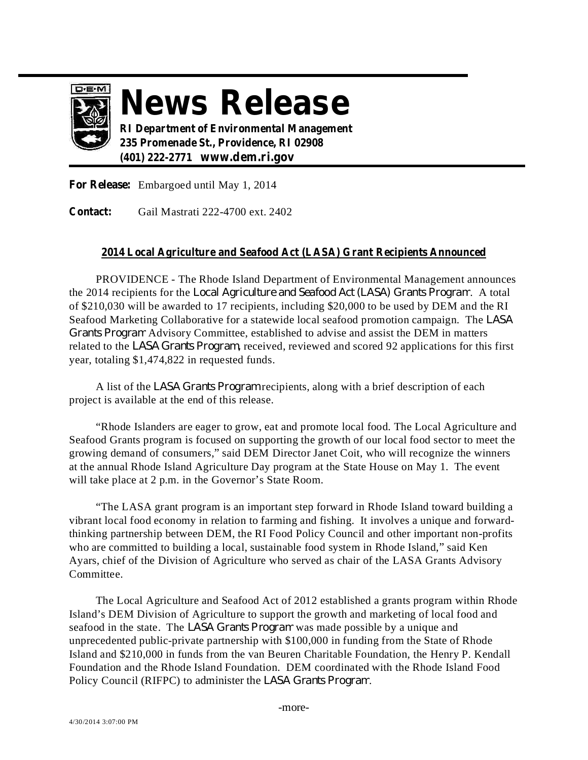

## **News Release**

**RI Department of Environmental Management 235 Promenade St., Providence, RI 02908 (401) 222-2771 www.dem.ri.gov**

**For Release:** Embargoed until May 1, 2014

Gail Mastrati 222-4700 ext. 2402 **Contact:**

## **2014 Local Agriculture and Seafood Act (LASA) Grant Recipients Announced**

PROVIDENCE - The Rhode Island Department of Environmental Management announces the 2014 recipients for the *Local Agriculture and Seafood Act (LASA) Grants Program.* A total of \$210,030 will be awarded to 17 recipients, including \$20,000 to be used by DEM and the RI Seafood Marketing Collaborative for a statewide local seafood promotion campaign. The *LASA* Grants Program Advisory Committee, established to advise and assist the DEM in matters related to the *LASA Grants Program*, received, reviewed and scored 92 applications for this first year, totaling \$1,474,822 in requested funds.

A list of the LASA Grants Program recipients, along with a brief description of each project is available at the end of this release.

"Rhode Islanders are eager to grow, eat and promote local food. The Local Agriculture and Seafood Grants program is focused on supporting the growth of our local food sector to meet the growing demand of consumers," said DEM Director Janet Coit, who will recognize the winners at the annual Rhode Island Agriculture Day program at the State House on May 1. The event will take place at 2 p.m. in the Governor's State Room.

"The LASA grant program is an important step forward in Rhode Island toward building a vibrant local food economy in relation to farming and fishing. It involves a unique and forwardthinking partnership between DEM, the RI Food Policy Council and other important non-profits who are committed to building a local, sustainable food system in Rhode Island," said Ken Ayars, chief of the Division of Agriculture who served as chair of the LASA Grants Advisory Committee.

The Local Agriculture and Seafood Act of 2012 established a grants program within Rhode Island's DEM Division of Agriculture to support the growth and marketing of local food and seafood in the state. The LASA *Grants Program* was made possible by a unique and unprecedented public-private partnership with \$100,000 in funding from the State of Rhode Island and \$210,000 in funds from the van Beuren Charitable Foundation, the Henry P. Kendall Foundation and the Rhode Island Foundation. DEM coordinated with the Rhode Island Food Policy Council (RIFPC) to administer the LASA Grants Program.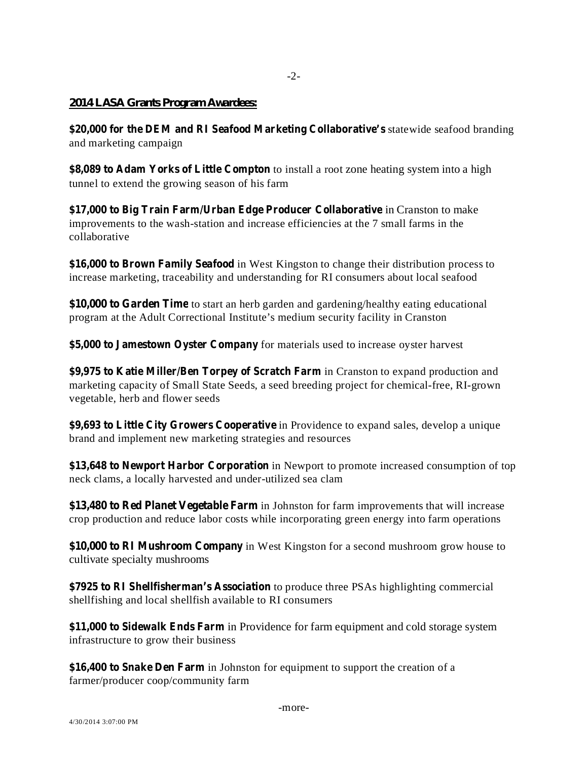## *2014 LASA Grants Program Awardees:*

**\$20,000** for the DEM and RI Seafood Marketing Collaborative's statewide seafood branding and marketing campaign

-2-

**\$8,089 to** Adam Yorks of Little Compton to install a root zone heating system into a high tunnel to extend the growing season of his farm

**\$17,000** to Big Train Farm/Urban Edge Producer Collaborative in Cranston to make improvements to the wash-station and increase efficiencies at the 7 small farms in the collaborative

**\$16,000 to Brown Family Seafood** in West Kingston to change their distribution process to increase marketing, traceability and understanding for RI consumers about local seafood

**\$10,000 to Garden Time** to start an herb garden and gardening/healthy eating educational program at the Adult Correctional Institute's medium security facility in Cranston

**\$5,000 to Jamestown Oyster Company** for materials used to increase oyster harvest

**\$9,975** to Katie Miller/Ben Torpey of Scratch Farm in Cranston to expand production and marketing capacity of Small State Seeds, a seed breeding project for chemical-free, RI-grown vegetable, herb and flower seeds

**\$9,693 to Little City Growers Cooperative** in Providence to expand sales, develop a unique brand and implement new marketing strategies and resources

**\$13,648 to Newport Harbor Corporation** in Newport to promote increased consumption of top neck clams, a locally harvested and under-utilized sea clam

**\$13,480 to Red Planet Vegetable Farm** in Johnston for farm improvements that will increase crop production and reduce labor costs while incorporating green energy into farm operations

**\$10,000 to RI Mushroom Company** in West Kingston for a second mushroom grow house to cultivate specialty mushrooms

**\$7925 to RI Shellfisherman's Association** to produce three PSAs highlighting commercial shellfishing and local shellfish available to RI consumers

**\$11,000 to Sidewalk Ends Farm** in Providence for farm equipment and cold storage system infrastructure to grow their business

**\$16,400 to Snake Den Farm** in Johnston for equipment to support the creation of a farmer/producer coop/community farm